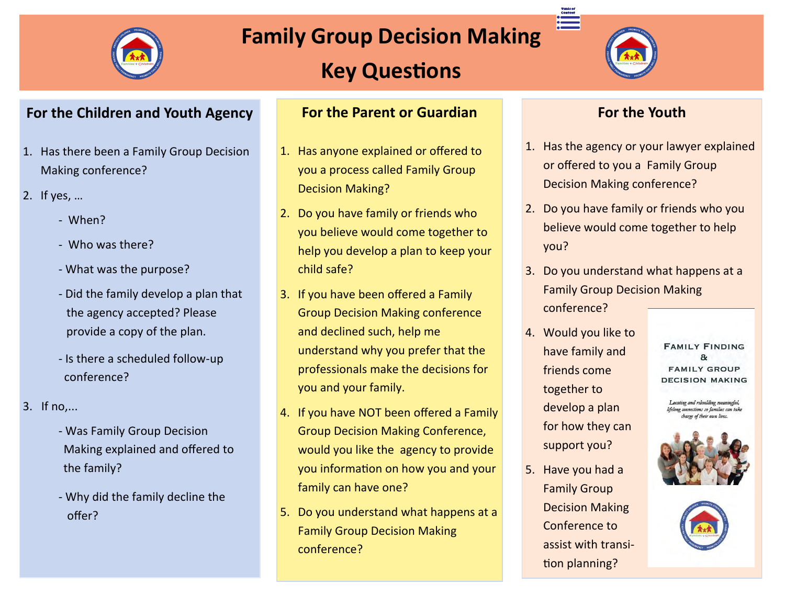

# **Family Group Decision Making**

# **Key Questions**



 $\begin{array}{c}\n\text{Content} \\
\text{Content} \\
\text{1}\n\end{array}$ 

#### **For the Children and Youth Agency**

- 1. Has there been a Family Group Decision Making conference?
- 2. If yes, …
	- When?
	- Who was there?
	- What was the purpose?
	- Did the family develop a plan that the agency accepted? Please provide a copy of the plan.
	- Is there a scheduled follow-up conference?
- 3. If no,...
	- Was Family Group Decision Making explained and offered to the family?
	- Why did the family decline the offer?

#### **For the Parent or Guardian**

- 1. Has anyone explained or offered to you a process called Family Group Decision Making?
- 2. Do you have family or friends who you believe would come together to help you develop a plan to keep your child safe?
- 3. If you have been offered a Family Group Decision Making conference and declined such, help me understand why you prefer that the professionals make the decisions for you and your family.
- 4. If you have NOT been offered a Family Group Decision Making Conference, would you like the agency to provide you information on how you and your family can have one?
- 5. Do you understand what happens at a Family Group Decision Making conference?

### **For the Youth**

- 1. Has the agency or your lawyer explained or offered to you a Family Group Decision Making conference?
- 2. Do you have family or friends who you believe would come together to help you?
- 3. Do you understand what happens at a Family Group Decision Making conference?
- 4. Would you like to have family and friends come together to develop a plan for how they can support you?
- 5. Have you had a Family Group Decision Making Conference to assist with transition planning?

**FAMILY FINDING**  $\mathbf{a}$ **FAMILY GROUP DECISION MAKING** 

Locating and rebuilding meaningful, no connections so families can take